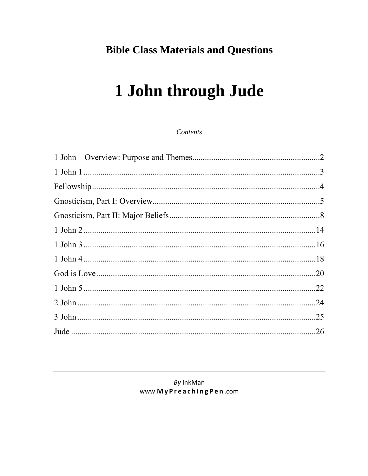## **Bible Class Materials and Questions**

# 1 John through Jude

Contents

## By InkMan www.MyPreachingPen.com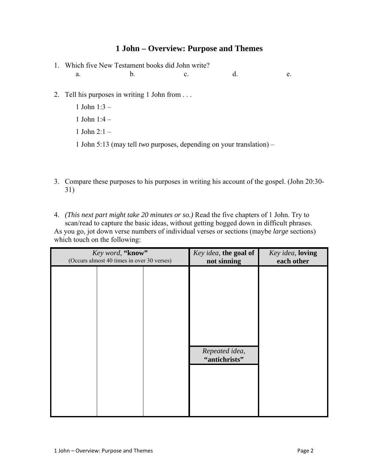## **1 John – Overview: Purpose and Themes**

- 1. Which five New Testament books did John write? a. b. c. d. e.
- 2. Tell his purposes in writing 1 John from . . .
	- 1 John 1:3 –
	- 1 John 1:4 –
	- 1 John 2:1 –
	- 1 John 5:13 (may tell *two* purposes, depending on your translation) –
- 3. Compare these purposes to his purposes in writing his account of the gospel. (John 20:30- 31)

4. *(This next part might take 20 minutes or so.)* Read the five chapters of 1 John. Try to scan/read to capture the basic ideas, without getting bogged down in difficult phrases. As you go, jot down verse numbers of individual verses or sections (maybe *large* sections) which touch on the following:

| Key word, "know"<br>(Occurs almost 40 times in over 30 verses) | Key idea, the goal of<br>not sinning | Key idea, loving<br>each other |
|----------------------------------------------------------------|--------------------------------------|--------------------------------|
|                                                                |                                      |                                |
|                                                                |                                      |                                |
|                                                                |                                      |                                |
|                                                                |                                      |                                |
|                                                                | Repeated idea,                       |                                |
|                                                                | "antichrists"                        |                                |
|                                                                |                                      |                                |
|                                                                |                                      |                                |
|                                                                |                                      |                                |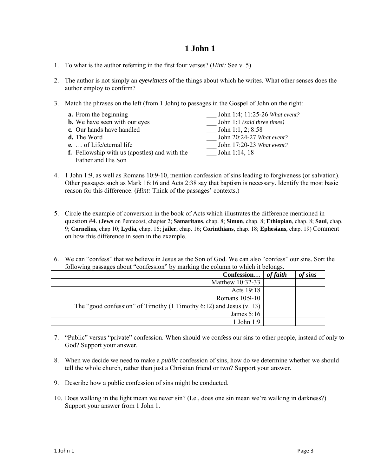- 1. To what is the author referring in the first four verses? (*Hint:* See v. 5)
- 2. The author is not simply an *eyewitness* of the things about which he writes. What other senses does the author employ to confirm?
- 3. Match the phrases on the left (from 1 John) to passages in the Gospel of John on the right:

| <b>a.</b> From the beginning                         | John 1:4; 11:25-26 What event? |
|------------------------------------------------------|--------------------------------|
| <b>b.</b> We have seen with our eyes                 | John 1:1 (said three times)    |
| c. Our hands have handled                            | John 1:1, 2; $8:58$            |
| <b>d.</b> The Word                                   | John 20:24-27 What event?      |
| $\mathbf{e}$ .  of Life/eternal life                 | John 17:20-23 What event?      |
| <b>f.</b> Fellowship with us (apostles) and with the | John 1:14, 18                  |
| Father and His Son                                   |                                |

- 4. 1 John 1:9, as well as Romans 10:9-10, mention confession of sins leading to forgiveness (or salvation). Other passages such as Mark 16:16 and Acts 2:38 say that baptism is necessary. Identify the most basic reason for this difference. (*Hint:* Think of the passages' contexts.)
- 5. Circle the example of conversion in the book of Acts which illustrates the difference mentioned in question #4. (**Jews** on Pentecost, chapter 2; **Samaritans**, chap. 8; **Simon**, chap. 8; **Ethiopian**, chap. 8; **Saul**, chap. 9; **Cornelius**, chap 10; **Lydia**, chap. 16; **jailer**, chap. 16; **Corinthians**, chap. 18; **Ephesians**, chap. 19) Comment on how this difference in seen in the example.
- 6. We can "confess" that we believe in Jesus as the Son of God. We can also "confess" our sins. Sort the following passages about "confession" by marking the column to which it belongs.

| Confession                                                                 | of faith | of sins |
|----------------------------------------------------------------------------|----------|---------|
| Matthew 10:32-33                                                           |          |         |
| Acts 19:18                                                                 |          |         |
| Romans 10:9-10                                                             |          |         |
| The "good confession" of Timothy $(1$ Timothy $6:12$ ) and Jesus $(v. 13)$ |          |         |
| James $5:16$                                                               |          |         |
| 1 John $1:9$                                                               |          |         |

- 7. "Public" versus "private" confession. When should we confess our sins to other people, instead of only to God? Support your answer.
- 8. When we decide we need to make a *public* confession of sins, how do we determine whether we should tell the whole church, rather than just a Christian friend or two? Support your answer.
- 9. Describe how a public confession of sins might be conducted.
- 10. Does walking in the light mean we never sin? (I.e., does one sin mean we're walking in darkness?) Support your answer from 1 John 1.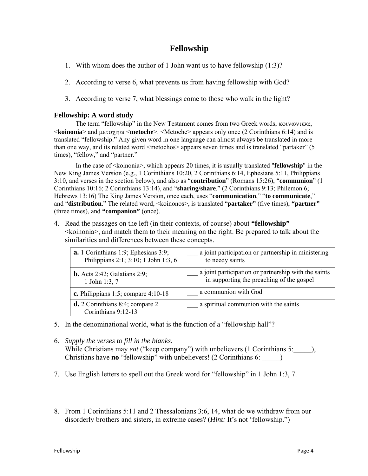## **Fellowship**

- 1. With whom does the author of 1 John want us to have fellowship (1:3)?
- 2. According to verse 6, what prevents us from having fellowship with God?
- 3. According to verse 7, what blessings come to those who walk in the light?

#### **Fellowship: A word study**

The term "fellowship" in the New Testament comes from two Greek words, κοινωνιϖα, <**koinonia**> and µετοχηϖ <**metoche**>. <Metoche> appears only once (2 Corinthians 6:14) and is translated "fellowship." Any given word in one language can almost always be translated in more than one way, and its related word <metochos> appears seven times and is translated "partaker" (5 times), "fellow," and "partner."

In the case of  $\leq$ koinonia $\geq$ , which appears 20 times, it is usually translated "**fellowship**" in the New King James Version (e.g., 1 Corinthians 10:20, 2 Corinthians 6:14, Ephesians 5:11, Philippians 3:10, and verses in the section below), and also as "**contribution**" (Romans 15:26), "**communion**" (1 Corinthians 10:16; 2 Corinthians 13:14), and "**sharing/share**." (2 Corinthians 9:13; Philemon 6; Hebrews 13:16) The King James Version, once each, uses "**communication**," "**to communicate**," and "**distribution**." The related word, <koinonos>, is translated "**partaker"** (five times), **"partner"** (three times), and **"companion"** (once).

4. Read the passages on the left (in their contexts, of course) about **"fellowship"**  $\leq$ koinonia $\geq$ , and match them to their meaning on the right. Be prepared to talk about the similarities and differences between these concepts.

| $a. 1$ Corinthians 1:9; Ephesians 3:9;                   | a joint participation or partnership in ministering  |
|----------------------------------------------------------|------------------------------------------------------|
| Philippians 2:1; 3:10; 1 John 1:3, 6                     | to needy saints                                      |
| <b>b.</b> Acts 2:42; Galatians 2:9;                      | a joint participation or partnership with the saints |
| 1 John 1:3, 7                                            | in supporting the preaching of the gospel            |
| c. Philippians 1:5; compare $4:10-18$                    | a communion with God                                 |
| $d. 2$ Corinthians 8:4; compare 2<br>Corinthians 9:12-13 | a spiritual communion with the saints                |

- 5. In the denominational world, what is the function of a "fellowship hall"?
- 6. *Supply the verses to fill in the blanks.* While Christians may *eat* ("keep company") with unbelievers (1 Corinthians 5:  $\qquad$  ), Christians have **no** "fellowship" with unbelievers! (2 Corinthians 6: \_\_\_\_\_)
- 7. Use English letters to spell out the Greek word for "fellowship" in 1 John 1:3, 7.
- 8. From 1 Corinthians 5:11 and 2 Thessalonians 3:6, 14, what do we withdraw from our disorderly brothers and sisters, in extreme cases? (*Hint:* It's not 'fellowship.")

 $\frac{1}{\sqrt{2}}$  ,  $\frac{1}{\sqrt{2}}$  ,  $\frac{1}{\sqrt{2}}$  ,  $\frac{1}{\sqrt{2}}$  ,  $\frac{1}{\sqrt{2}}$  ,  $\frac{1}{\sqrt{2}}$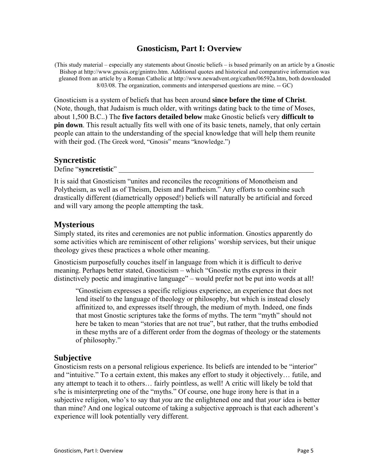## **Gnosticism, Part I: Overview**

(This study material – especially any statements about Gnostic beliefs – is based primarily on an article by a Gnostic Bishop at http://www.gnosis.org/gnintro.htm. Additional quotes and historical and comparative information was gleaned from an article by a Roman Catholic at http://www.newadvent.org/cathen/06592a.htm, both downloaded 8/03/08. The organization, comments and interspersed questions are mine. -- GC)

Gnosticism is a system of beliefs that has been around **since before the time of Christ**. (Note, though, that Judaism is much older, with writings dating back to the time of Moses, about 1,500 B.C..) The **five factors detailed below** make Gnostic beliefs very **difficult to pin down**. This result actually fits well with one of its basic tenets, namely, that only certain people can attain to the understanding of the special knowledge that will help them reunite with their god. (The Greek word, "Gnosis" means "knowledge.")

#### **Syncretistic**

Define "**syncretistic**"

It is said that Gnosticism "unites and reconciles the recognitions of Monotheism and Polytheism, as well as of Theism, Deism and Pantheism." Any efforts to combine such drastically different (diametrically opposed!) beliefs will naturally be artificial and forced and will vary among the people attempting the task.

## **Mysterious**

Simply stated, its rites and ceremonies are not public information. Gnostics apparently do some activities which are reminiscent of other religions' worship services, but their unique theology gives these practices a whole other meaning.

Gnosticism purposefully couches itself in language from which it is difficult to derive meaning. Perhaps better stated, Gnosticism – which "Gnostic myths express in their distinctively poetic and imaginative language" – would prefer not be put into words at all!

"Gnosticism expresses a specific religious experience, an experience that does not lend itself to the language of theology or philosophy, but which is instead closely affinitized to, and expresses itself through, the medium of myth. Indeed, one finds that most Gnostic scriptures take the forms of myths. The term "myth" should not here be taken to mean "stories that are not true", but rather, that the truths embodied in these myths are of a different order from the dogmas of theology or the statements of philosophy."

## **Subjective**

Gnosticism rests on a personal religious experience. Its beliefs are intended to be "interior" and "intuitive." To a certain extent, this makes any effort to study it objectively… futile, and any attempt to teach it to others… fairly pointless, as well! A critic will likely be told that s/he is misinterpreting one of the "myths." Of course, one huge irony here is that in a subjective religion, who's to say that *you* are the enlightened one and that *your* idea is better than mine? And one logical outcome of taking a subjective approach is that each adherent's experience will look potentially very different.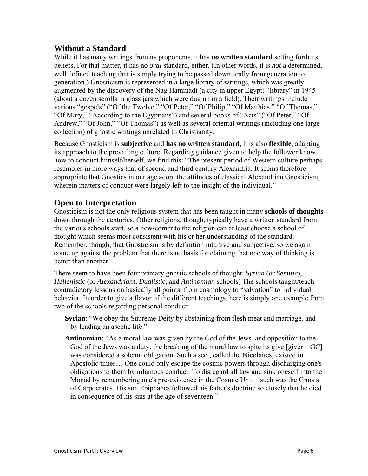## **Without a Standard**

While it has many writings from its proponents, it has **no written standard** setting forth its beliefs. For that matter, it has no *oral* standard, either. (In other words, it is *not* a determined, well defined teaching that is simply trying to be passed down orally from generation to generation.) Gnosticism is represented in a large library of writings, which was greatly augmented by the discovery of the Nag Hammadi (a city in upper Egypt) "library" in 1945 (about a dozen scrolls in glass jars which were dug up in a field). Their writings include various "gospels" ("Of the Twelve," "Of Peter," "Of Philip," "Of Matthias," "Of Thomas," "Of Mary," "According to the Egyptians") and several books of "Acts" ("Of Peter," "Of Andrew," "Of John," "Of Thomas") as well as several oriental writings (including one large collection) of gnostic writings unrelated to Christianity.

Because Gnosticism is **subjective** and **has no written standard**, it is also **flexible**, adapting its approach to the prevailing culture. Regarding guidance given to help the follower know how to conduct himself/herself, we find this: "The present period of Western culture perhaps resembles in more ways that of second and third century Alexandria. It seems therefore appropriate that Gnostics in our age adopt the attitudes of classical Alexandrian Gnosticism, wherein matters of conduct were largely left to the insight of the individual."

## **Open to Interpretation**

Gnosticism is not the only religious system that has been taught in many **schools of thoughts** down through the centuries. Other religions, though, typically have a written standard from the various schools start, so a new-comer to the religion can at least choose a school of thought which seems most consistent with his or her understanding of the standard. Remember, though, that Gnosticism is by definition intuitive and subjective, so we again come up against the problem that there is no basis for claiming that one way of thinking is better than another.

There seem to have been four primary gnostic schools of thought: *Syrian* (or *Semitic*), *Hellenistic* (or *Alexandrian*), *Dualistic*, and *Antinomian* schools) The schools taught/teach contradictory lessons on basically all points, from cosmology to "salvation" to individual behavior. In order to give a flavor of the different teachings, here is simply one example from two of the schools regarding personal conduct:

- **Syrian**: "We obey the Supreme Deity by abstaining from flesh meat and marriage, and by leading an ascetic life."
- **Antinomian**: "As a moral law was given by the God of the Jews, and opposition to the God of the Jews was a duty, the breaking of the moral law to spite its give  $[giver - GC]$ was considered a solemn obligation. Such a sect, called the Nicolaites, existed in Apostolic times… One could only escape the cosmic powers through discharging one's obligations to them by infamous conduct. To disregard all law and sink oneself into the Monad by remembering one's pre-existence in the Cosmic Unit – such was the Gnosis of Carpocrates. His son Epiphanes followed his father's doctrine so closely that he died in consequence of his sins at the age of seventeen."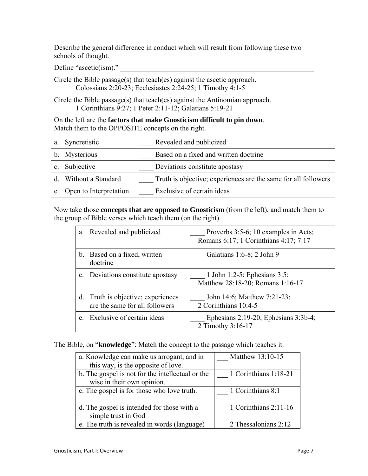Describe the general difference in conduct which will result from following these two schools of thought.

Define "ascetic(ism)."

Circle the Bible passage(s) that teach(es) against the ascetic approach. Colossians 2:20-23; Ecclesiastes 2:24-25; 1 Timothy 4:1-5

Circle the Bible passage(s) that teach(es) against the Antinomian approach. 1 Corinthians 9:27; 1 Peter 2:11-12; Galatians 5:19-21

On the left are the **factors that make Gnosticism difficult to pin down**. Match them to the OPPOSITE concepts on the right.

| a. | Syncretistic           | Revealed and publicized                                        |
|----|------------------------|----------------------------------------------------------------|
| b. | Mysterious             | Based on a fixed and written doctrine                          |
|    | Subjective             | Deviations constitute apostasy                                 |
|    | Without a Standard     | Truth is objective; experiences are the same for all followers |
|    | Open to Interpretation | Exclusive of certain ideas                                     |

Now take those **concepts that are opposed to Gnosticism** (from the left), and match them to the group of Bible verses which teach them (on the right).

| a.             | Revealed and publicized                                           | Proverbs 3:5-6; 10 examples in Acts;<br>Romans 6:17; 1 Corinthians 4:17; 7:17 |
|----------------|-------------------------------------------------------------------|-------------------------------------------------------------------------------|
| $b_{\cdot}$    | Based on a fixed, written<br>doctrine                             | Galatians 1:6-8; 2 John 9                                                     |
| $\mathbf{c}$ . | Deviations constitute apostasy                                    | 1 John 1:2-5; Ephesians $3:5$ ;<br>Matthew 28:18-20; Romans 1:16-17           |
| d.             | Truth is objective; experiences<br>are the same for all followers | John 14:6; Matthew 7:21-23;<br>2 Corinthians 10:4-5                           |
| e.             | Exclusive of certain ideas                                        | Ephesians $2:19-20$ ; Ephesians $3:3b-4$ ;<br>2 Timothy 3:16-17               |

The Bible, on "**knowledge**": Match the concept to the passage which teaches it.

| a. Knowledge can make us arrogant, and in        | Matthew 13:10-15        |
|--------------------------------------------------|-------------------------|
| this way, is the opposite of love.               |                         |
| b. The gospel is not for the intellectual or the | 1 Corinthians 1:18-21   |
| wise in their own opinion.                       |                         |
| c. The gospel is for those who love truth.       | 1 Corinthians 8:1       |
|                                                  |                         |
| d. The gospel is intended for those with a       | 1 Corinthians $2:11-16$ |
| simple trust in God                              |                         |
| e. The truth is revealed in words (language)     | 2 Thessalonians 2:12    |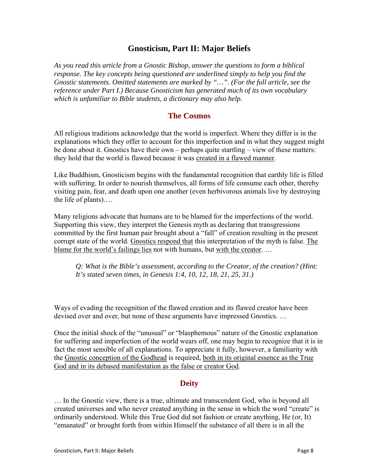## **Gnosticism, Part II: Major Beliefs**

*As you read this article from a Gnostic Bishop, answer the questions to form a biblical response. The key concepts being questioned are underlined simply to help you find the Gnostic statements. Omitted statements are marked by "…". (For the full article, see the reference under Part I.) Because Gnosticism has generated much of its own vocabulary which is unfamiliar to Bible students, a dictionary may also help.* 

## **The Cosmos**

All religious traditions acknowledge that the world is imperfect. Where they differ is in the explanations which they offer to account for this imperfection and in what they suggest might be done about it. Gnostics have their own – perhaps quite startling – view of these matters: they hold that the world is flawed because it was created in a flawed manner.

Like Buddhism, Gnosticism begins with the fundamental recognition that earthly life is filled with suffering. In order to nourish themselves, all forms of life consume each other, thereby visiting pain, fear, and death upon one another (even herbivorous animals live by destroying the life of plants)….

Many religions advocate that humans are to be blamed for the imperfections of the world. Supporting this view, they interpret the Genesis myth as declaring that transgressions committed by the first human pair brought about a "fall" of creation resulting in the present corrupt state of the world. Gnostics respond that this interpretation of the myth is false. The blame for the world's failings lies not with humans, but with the creator. …

*Q: What is the Bible's assessment, according to the Creator, of the creation? (Hint: It's stated seven times, in Genesis 1:4, 10, 12, 18, 21, 25, 31.)* 

Ways of evading the recognition of the flawed creation and its flawed creator have been devised over and over, but none of these arguments have impressed Gnostics. …

Once the initial shock of the "unusual" or "blasphemous" nature of the Gnostic explanation for suffering and imperfection of the world wears off, one may begin to recognize that it is in fact the most sensible of all explanations. To appreciate it fully, however, a familiarity with the Gnostic conception of the Godhead is required, both in its original essence as the True God and in its debased manifestation as the false or creator God.

## **Deity**

… In the Gnostic view, there is a true, ultimate and transcendent God, who is beyond all created universes and who never created anything in the sense in which the word "create" is ordinarily understood. While this True God did not fashion or create anything, He (or, It) "emanated" or brought forth from within Himself the substance of all there is in all the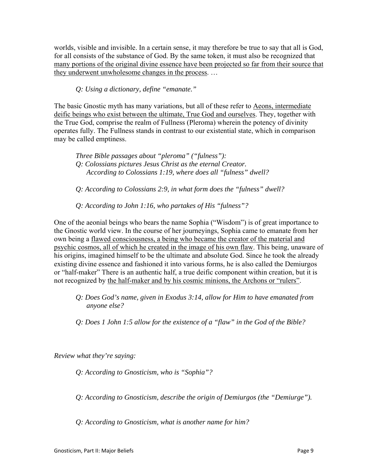worlds, visible and invisible. In a certain sense, it may therefore be true to say that all is God, for all consists of the substance of God. By the same token, it must also be recognized that many portions of the original divine essence have been projected so far from their source that they underwent unwholesome changes in the process. …

*Q: Using a dictionary, define "emanate."* 

The basic Gnostic myth has many variations, but all of these refer to Aeons, intermediate deific beings who exist between the ultimate, True God and ourselves. They, together with the True God, comprise the realm of Fullness (Pleroma) wherein the potency of divinity operates fully. The Fullness stands in contrast to our existential state, which in comparison may be called emptiness.

 *Three Bible passages about "pleroma" ("fulness"): Q: Colossians pictures Jesus Christ as the eternal Creator. According to Colossians 1:19, where does all "fulness" dwell?* 

*Q: According to Colossians 2:9, in what form does the "fulness" dwell?* 

*Q: According to John 1:16, who partakes of His "fulness"?* 

One of the aeonial beings who bears the name Sophia ("Wisdom") is of great importance to the Gnostic world view. In the course of her journeyings, Sophia came to emanate from her own being a flawed consciousness, a being who became the creator of the material and psychic cosmos, all of which he created in the image of his own flaw. This being, unaware of his origins, imagined himself to be the ultimate and absolute God. Since he took the already existing divine essence and fashioned it into various forms, he is also called the Demiurgos or "half-maker" There is an authentic half, a true deific component within creation, but it is not recognized by the half-maker and by his cosmic minions, the Archons or "rulers".

- *Q: Does God's name, given in Exodus 3:14, allow for Him to have emanated from anyone else?*
- *Q: Does 1 John 1:5 allow for the existence of a "flaw" in the God of the Bible?*

*Review what they're saying:* 

*Q: According to Gnosticism, who is "Sophia"?* 

*Q: According to Gnosticism, describe the origin of Demiurgos (the "Demiurge").* 

*Q: According to Gnosticism, what is another name for him?*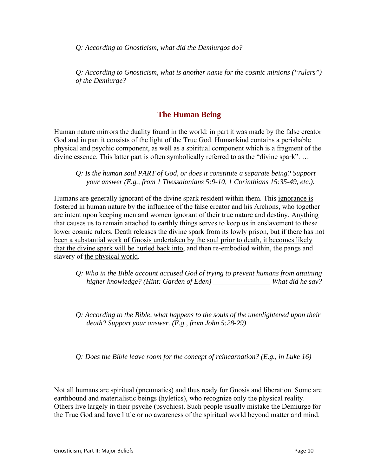*Q: According to Gnosticism, what did the Demiurgos do?* 

*Q: According to Gnosticism, what is another name for the cosmic minions ("rulers") of the Demiurge?*

## **The Human Being**

Human nature mirrors the duality found in the world: in part it was made by the false creator God and in part it consists of the light of the True God. Humankind contains a perishable physical and psychic component, as well as a spiritual component which is a fragment of the divine essence. This latter part is often symbolically referred to as the "divine spark". …

#### *Q: Is the human soul PART of God, or does it constitute a separate being? Support your answer (E.g., from 1 Thessalonians 5:9-10, 1 Corinthians 15:35-49, etc.).*

Humans are generally ignorant of the divine spark resident within them. This ignorance is fostered in human nature by the influence of the false creator and his Archons, who together are intent upon keeping men and women ignorant of their true nature and destiny. Anything that causes us to remain attached to earthly things serves to keep us in enslavement to these lower cosmic rulers. Death releases the divine spark from its lowly prison, but if there has not been a substantial work of Gnosis undertaken by the soul prior to death, it becomes likely that the divine spark will be hurled back into, and then re-embodied within, the pangs and slavery of the physical world.

- *Q: Who in the Bible account accused God of trying to prevent humans from attaining higher knowledge? (Hint: Garden of Eden) What did he say?*
- *Q: According to the Bible, what happens to the souls of the unenlightened upon their death? Support your answer. (E.g., from John 5:28-29)*

*Q: Does the Bible leave room for the concept of reincarnation? (E.g., in Luke 16)* 

Not all humans are spiritual (pneumatics) and thus ready for Gnosis and liberation. Some are earthbound and materialistic beings (hyletics), who recognize only the physical reality. Others live largely in their psyche (psychics). Such people usually mistake the Demiurge for the True God and have little or no awareness of the spiritual world beyond matter and mind.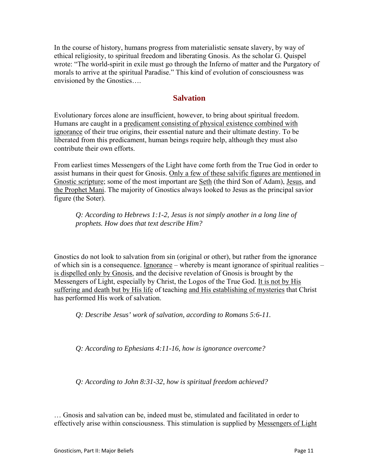In the course of history, humans progress from materialistic sensate slavery, by way of ethical religiosity, to spiritual freedom and liberating Gnosis. As the scholar G. Quispel wrote: "The world-spirit in exile must go through the Inferno of matter and the Purgatory of morals to arrive at the spiritual Paradise." This kind of evolution of consciousness was envisioned by the Gnostics….

## **Salvation**

Evolutionary forces alone are insufficient, however, to bring about spiritual freedom. Humans are caught in a predicament consisting of physical existence combined with ignorance of their true origins, their essential nature and their ultimate destiny. To be liberated from this predicament, human beings require help, although they must also contribute their own efforts.

From earliest times Messengers of the Light have come forth from the True God in order to assist humans in their quest for Gnosis. Only a few of these salvific figures are mentioned in Gnostic scripture; some of the most important are Seth (the third Son of Adam), Jesus, and the Prophet Mani. The majority of Gnostics always looked to Jesus as the principal savior figure (the Soter).

*Q: According to Hebrews 1:1-2, Jesus is not simply another in a long line of prophets. How does that text describe Him?* 

Gnostics do not look to salvation from sin (original or other), but rather from the ignorance of which sin is a consequence. Ignorance – whereby is meant ignorance of spiritual realities – is dispelled only by Gnosis, and the decisive revelation of Gnosis is brought by the Messengers of Light, especially by Christ, the Logos of the True God. It is not by His suffering and death but by His life of teaching and His establishing of mysteries that Christ has performed His work of salvation.

*Q: Describe Jesus' work of salvation, according to Romans 5:6-11.* 

*Q: According to Ephesians 4:11-16, how is ignorance overcome?* 

*Q: According to John 8:31-32, how is spiritual freedom achieved?* 

… Gnosis and salvation can be, indeed must be, stimulated and facilitated in order to effectively arise within consciousness. This stimulation is supplied by Messengers of Light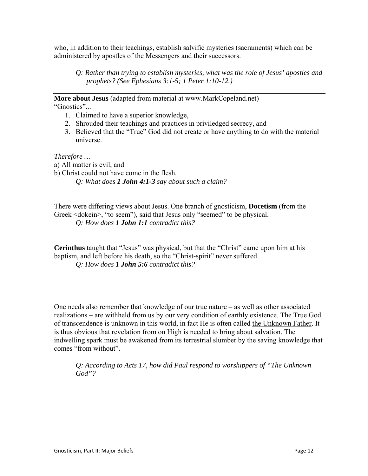who, in addition to their teachings, establish salvific mysteries (sacraments) which can be administered by apostles of the Messengers and their successors.

*Q: Rather than trying to establish mysteries, what was the role of Jesus' apostles and prophets? (See Ephesians 3:1-5; 1 Peter 1:10-12.)* 

**More about Jesus** (adapted from material at www.MarkCopeland.net) "Gnostics"...

- 1. Claimed to have a superior knowledge,
- 2. Shrouded their teachings and practices in priviledged secrecy, and
- 3. Believed that the "True" God did not create or have anything to do with the material universe.

*Therefore …* 

- a) All matter is evil, and
- b) Christ could not have come in the flesh.

*Q: What does 1 John 4:1-3 say about such a claim?* 

There were differing views about Jesus. One branch of gnosticism, **Docetism** (from the Greek <dokein>, "to seem"), said that Jesus only "seemed" to be physical. *Q: How does 1 John 1:1 contradict this?* 

**Cerinthus** taught that "Jesus" was physical, but that the "Christ" came upon him at his baptism, and left before his death, so the "Christ-spirit" never suffered. *Q: How does 1 John 5:6 contradict this?* 

One needs also remember that knowledge of our true nature – as well as other associated realizations – are withheld from us by our very condition of earthly existence. The True God of transcendence is unknown in this world, in fact He is often called the Unknown Father. It is thus obvious that revelation from on High is needed to bring about salvation. The indwelling spark must be awakened from its terrestrial slumber by the saving knowledge that comes "from without".

*Q: According to Acts 17, how did Paul respond to worshippers of "The Unknown God"?*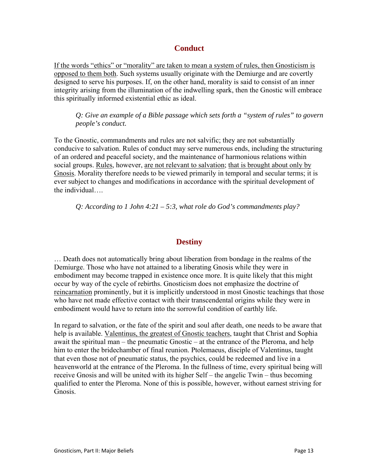## **Conduct**

If the words "ethics" or "morality" are taken to mean a system of rules, then Gnosticism is opposed to them both. Such systems usually originate with the Demiurge and are covertly designed to serve his purposes. If, on the other hand, morality is said to consist of an inner integrity arising from the illumination of the indwelling spark, then the Gnostic will embrace this spiritually informed existential ethic as ideal.

*Q: Give an example of a Bible passage which sets forth a "system of rules" to govern people's conduct.* 

To the Gnostic, commandments and rules are not salvific; they are not substantially conducive to salvation. Rules of conduct may serve numerous ends, including the structuring of an ordered and peaceful society, and the maintenance of harmonious relations within social groups. Rules, however, are not relevant to salvation; that is brought about only by Gnosis. Morality therefore needs to be viewed primarily in temporal and secular terms; it is ever subject to changes and modifications in accordance with the spiritual development of the individual….

*Q: According to 1 John 4:21 – 5:3, what role do God's commandments play?* 

## **Destiny**

… Death does not automatically bring about liberation from bondage in the realms of the Demiurge. Those who have not attained to a liberating Gnosis while they were in embodiment may become trapped in existence once more. It is quite likely that this might occur by way of the cycle of rebirths. Gnosticism does not emphasize the doctrine of reincarnation prominently, but it is implicitly understood in most Gnostic teachings that those who have not made effective contact with their transcendental origins while they were in embodiment would have to return into the sorrowful condition of earthly life.

In regard to salvation, or the fate of the spirit and soul after death, one needs to be aware that help is available. Valentinus, the greatest of Gnostic teachers, taught that Christ and Sophia await the spiritual man – the pneumatic Gnostic – at the entrance of the Pleroma, and help him to enter the bridechamber of final reunion. Ptolemaeus, disciple of Valentinus, taught that even those not of pneumatic status, the psychics, could be redeemed and live in a heavenworld at the entrance of the Pleroma. In the fullness of time, every spiritual being will receive Gnosis and will be united with its higher Self – the angelic Twin – thus becoming qualified to enter the Pleroma. None of this is possible, however, without earnest striving for Gnosis.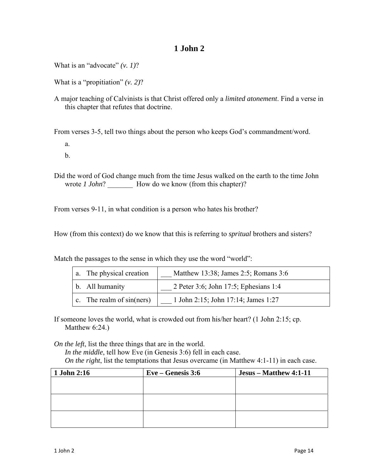What is an "advocate" *(v. 1)*?

What is a "propitiation" *(v. 2)*?

A major teaching of Calvinists is that Christ offered only a *limited atonement*. Find a verse in this chapter that refutes that doctrine.

From verses 3-5, tell two things about the person who keeps God's commandment/word.

- a.
- b.

Did the word of God change much from the time Jesus walked on the earth to the time John wrote *1 John*? How do we know (from this chapter)?

From verses 9-11, in what condition is a person who hates his brother?

How (from this context) do we know that this is referring to *spritual* brothers and sisters?

Match the passages to the sense in which they use the word "world":

| a. The physical creation    | Matthew 13:38; James 2:5; Romans 3:6  |
|-----------------------------|---------------------------------------|
| b. All humanity             | 2 Peter 3:6; John 17:5; Ephesians 1:4 |
| c. The realm of $sin(ners)$ | 1 John 2:15; John 17:14; James 1:27   |

If someone loves the world, what is crowded out from his/her heart? (1 John 2:15; cp. Matthew 6:24.)

*On the left*, list the three things that are in the world.

*In the middle*, tell how Eve (in Genesis 3:6) fell in each case. *On the right*, list the temptations that Jesus overcame (in Matthew 4:1-11) in each case.

| 1 John 2:16 | $Eve - Genesis 3:6$ | Jesus – Matthew 4:1-11 |
|-------------|---------------------|------------------------|
|             |                     |                        |
|             |                     |                        |
|             |                     |                        |
|             |                     |                        |
|             |                     |                        |
|             |                     |                        |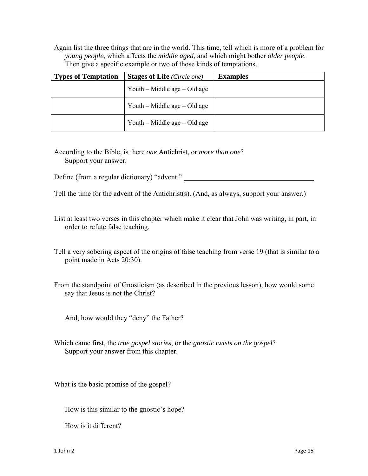Again list the three things that are in the world. This time, tell which is more of a problem for *young people*, which affects the *middle aged*, and which might bother *older people*. Then give a specific example or two of those kinds of temptations.

| <b>Types of Temptation</b> | <b>Stages of Life</b> (Circle one) | <b>Examples</b> |
|----------------------------|------------------------------------|-----------------|
|                            | Youth – Middle age – Old age       |                 |
|                            | Youth – Middle age – Old age       |                 |
|                            | Youth – Middle age – Old age       |                 |

According to the Bible, is there *one* Antichrist, or *more than one*? Support your answer.

Define (from a regular dictionary) "advent."

Tell the time for the advent of the Antichrist(s). (And, as always, support your answer.)

List at least two verses in this chapter which make it clear that John was writing, in part, in order to refute false teaching.

Tell a very sobering aspect of the origins of false teaching from verse 19 (that is similar to a point made in Acts 20:30).

From the standpoint of Gnosticism (as described in the previous lesson), how would some say that Jesus is not the Christ?

And, how would they "deny" the Father?

Which came first, the *true gospel stories*, or the *gnostic twists on the gospel*? Support your answer from this chapter.

What is the basic promise of the gospel?

How is this similar to the gnostic's hope?

How is it different?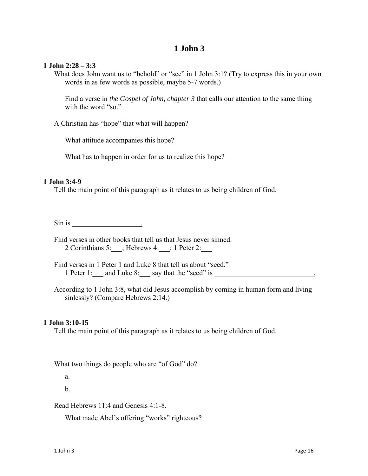#### **1 John 2:28 – 3:3**

What does John want us to "behold" or "see" in 1 John 3:1? (Try to express this in your own words in as few words as possible, maybe 5-7 words.)

Find a verse in *the Gospel of John, chapter 3* that calls our attention to the same thing with the word "so."

A Christian has "hope" that what will happen?

What attitude accompanies this hope?

What has to happen in order for us to realize this hope?

#### **1 John 3:4-9**

Tell the main point of this paragraph as it relates to us being children of God.

 $\sin$  is  $\frac{1}{\sin \frac{1}{2} \sin \frac{1}{2} \sin \frac{1}{2} \sin \frac{1}{2} \sin \frac{1}{2} \sin \frac{1}{2} \sin \frac{1}{2} \sin \frac{1}{2} \sin \frac{1}{2} \sin \frac{1}{2} \sin \frac{1}{2} \sin \frac{1}{2} \sin \frac{1}{2} \sin \frac{1}{2} \sin \frac{1}{2} \sin \frac{1}{2} \sin \frac{1}{2} \sin \frac{1}{2} \sin \frac{1}{2} \sin \frac{1}{2} \sin \frac{1}{2} \sin \frac{1}{2} \sin \frac{1}{2}$ 

Find verses in other books that tell us that Jesus never sinned. 2 Corinthians 5:  $\therefore$  Hebrews 4:  $\therefore$  1 Peter 2:

Find verses in 1 Peter 1 and Luke 8 that tell us about "seed." 1 Peter 1: and Luke 8: say that the "seed" is ...

According to 1 John 3:8, what did Jesus accomplish by coming in human form and living sinlessly? (Compare Hebrews 2:14.)

#### **1 John 3:10-15**

Tell the main point of this paragraph as it relates to us being children of God.

What two things do people who are "of God" do?

a.

b.

Read Hebrews 11:4 and Genesis 4:1-8.

What made Abel's offering "works" righteous?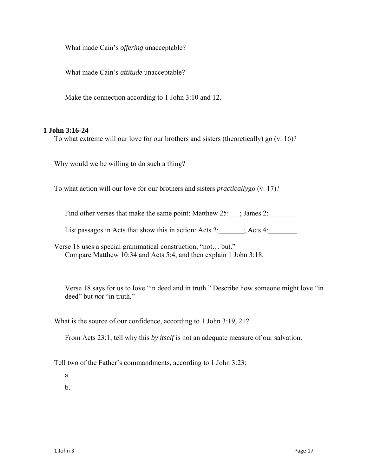What made Cain's *offering* unacceptable?

What made Cain's *attitude* unacceptable?

Make the connection according to 1 John 3:10 and 12.

#### **1 John 3:16-24**

To what extreme will our love for our brothers and sisters (theoretically) go (v. 16)?

Why would we be willing to do such a thing?

To what action will our love for our brothers and sisters *practically*go (v. 17)?

Find other verses that make the same point: Matthew 25:  $\therefore$  James 2:

List passages in Acts that show this in action: Acts 2: \_\_\_\_\_\_; Acts 4: \_\_\_\_\_\_\_\_

Verse 18 uses a special grammatical construction, "not… but." Compare Matthew 10:34 and Acts 5:4, and then explain 1 John 3:18.

Verse 18 says for us to love "in deed and in truth." Describe how someone might love "in deed" but *not* "in truth."

What is the source of our confidence, according to 1 John 3:19, 21?

From Acts 23:1, tell why this *by itself* is not an adequate measure of our salvation.

Tell two of the Father's commandments, according to 1 John 3:23:

a.

b.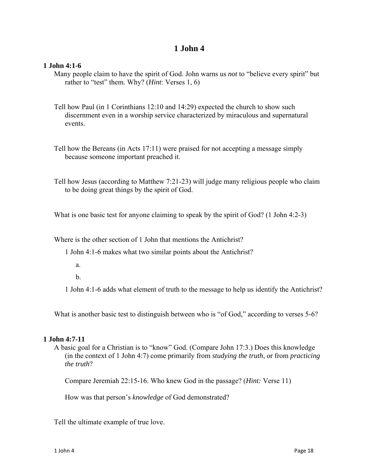#### **1 John 4:1-6**

Many people claim to have the spirit of God. John warns us *not* to "believe every spirit" but rather to "test" them. Why? (*Hint*: Verses 1, 6)

- Tell how Paul (in 1 Corinthians 12:10 and 14:29) expected the church to show such discernment even in a worship service characterized by miraculous and supernatural events.
- Tell how the Bereans (in Acts 17:11) were praised for not accepting a message simply because someone important preached it.
- Tell how Jesus (according to Matthew 7:21-23) will judge many religious people who claim to be doing great things by the spirit of God.

What is one basic test for anyone claiming to speak by the spirit of God? (1 John 4:2-3)

Where is the other section of 1 John that mentions the Antichrist?

1 John 4:1-6 makes what two similar points about the Antichrist?

a.

b.

1 John 4:1-6 adds what element of truth to the message to help us identify the Antichrist?

What is another basic test to distinguish between who is "of God," according to verses 5-6?

#### **1 John 4:7-11**

A basic goal for a Christian is to "know" God. (Compare John 17:3.) Does this knowledge (in the context of 1 John 4:7) come primarily from *studying the truth*, or from *practicing the truth*?

Compare Jeremiah 22:15-16. Who knew God in the passage? (*Hint:* Verse 11)

How was that person's *knowledge* of God demonstrated?

Tell the ultimate example of true love.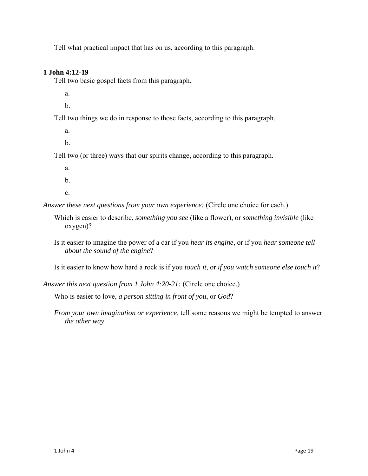Tell what practical impact that has on us, according to this paragraph.

## **1 John 4:12-19**

Tell two basic gospel facts from this paragraph.

a.

b.

Tell two things we do in response to those facts, according to this paragraph.

a.

b.

Tell two (or three) ways that our spirits change, according to this paragraph.

a.

b.

c.

*Answer these next questions from your own experience:* (Circle one choice for each.)

- Which is easier to describe, *something you see* (like a flower), or *something invisible* (like oxygen)?
- Is it easier to imagine the power of a car if you *hear its engine*, or if you *hear someone tell about the sound of the engine*?

Is it easier to know how hard a rock is if you *touch it*, or *if you watch someone else touch it*?

*Answer this next question from 1 John 4:20-21:* (Circle one choice.)

Who is easier to love, *a person sitting in front of you*, or *God*?

*From your own imagination or experience*, tell some reasons we might be tempted to answer *the other way*.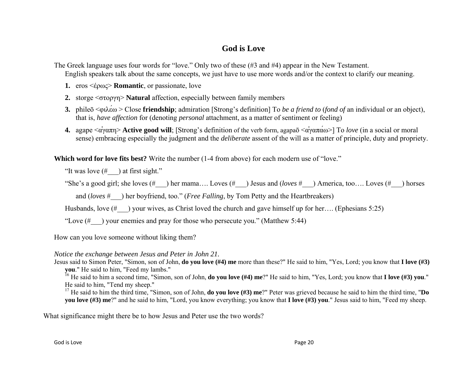## **God is Love**

The Greek language uses four words for "love." Only two of these (#3 and #4) appear in the New Testament.

English speakers talk about the same concepts, we just have to use more words and/or the context to clarify our meaning.

- **1.** eros <έρως> **Romantic**, or passionate, love
- **2.** storge <στοργη> **Natural** affection, especially between family members
- **3.** phile<sup>ō</sup> <sup>&</sup>lt;φιλε ́ <sup>ω</sup> > Close **friendship**; admiration [Strong's definition] To *be <sup>a</sup> friend to* (*fond of* an individual or an object), that is, *have affection* for (denoting *personal* attachment, as a matter of sentiment or feeling)
- **4.** agape <ἀγαπη<sup>&</sup>gt;**Active good will**; [Strong's definition of the verb form, agapa<sup>ō</sup> <sup>&</sup>lt;ἀγαπάω>] To *love* (in a social or moral sense) embracing especially the judgment and the *deliberate* assent of the will as a matter of principle, duty and propriety.

Which word for love fits best? Write the number (1-4 from above) for each modern use of "love."

"It was love  $(\# \_)$  at first sight."

"She's a good girl; she loves (#\_\_\_) her mama…. Loves (#\_\_\_) Jesus and (*loves* #\_\_\_) America, too…. Loves (#\_\_\_) horses

and (*loves* #\_\_\_) her boyfriend, too." (*Free Falling*, by Tom Petty and the Heartbreakers)

Husbands, love  $(\# \)$  your wives, as Christ loved the church and gave himself up for her…. (Ephesians 5:25)

"Love  $(\# \)$  your enemies and pray for those who persecute you." (Matthew 5:44)

How can you love someone without liking them?

#### *Notice the exchange between Jesus and Peter in John 21.*

Jesus said to Simon Peter, "Simon, son of John, **do you love (#4) me** more than these?" He said to him, "Yes, Lord; you know that **I love (#3) you**." He said to him, "Feed my lambs."

16 He said to him a second time, "Simon, son of John, **do you love (#4) me**?" He said to him, "Yes, Lord; you know that **I love (#3) you**." He said to him, "Tend my sheep."

17 He said to him the third time, "Simon, son of John, **do you love (#3) me**?" Peter was grieved because he said to him the third time, "**Do vou love** (#3) me?" and he said to him, "Lord, you know everything; you know that **I love** (#3) you." Jesus said to him, "Feed my sheep.

What significance might there be to how Jesus and Peter use the two words?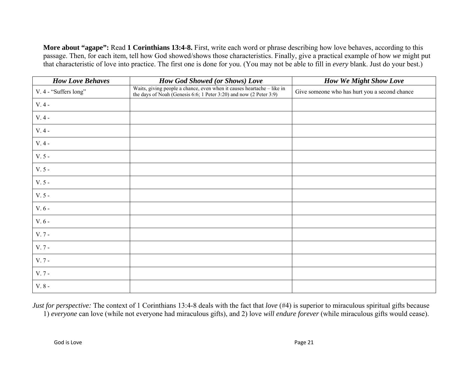**More about "agape":** Read **1 Corinthians 13:4-8.** First, write each word or phrase describing how love behaves, according to this passage. Then, for each item, tell how God showed/shows those characteristics. Finally, give a practical example of how *we* might put that characteristic of love into practice. The first one is done for you. (You may not be able to fill in *every* blank. Just do your best.)

| <b>How Love Behaves</b> | <b>How God Showed (or Shows) Love</b>                                                                                                        | <b>How We Might Show Love</b>                 |
|-------------------------|----------------------------------------------------------------------------------------------------------------------------------------------|-----------------------------------------------|
| V. 4 - "Suffers long"   | Waits, giving people a chance, even when it causes heartache - like in<br>the days of Noah (Genesis 6:6; 1 Peter 3:20) and now (2 Peter 3:9) | Give someone who has hurt you a second chance |
| $V.4 -$                 |                                                                                                                                              |                                               |
| $\rm V.$ 4 -            |                                                                                                                                              |                                               |
| $V.4 -$                 |                                                                                                                                              |                                               |
| $V.4 -$                 |                                                                                                                                              |                                               |
| $V.5 -$                 |                                                                                                                                              |                                               |
| $V.5 -$                 |                                                                                                                                              |                                               |
| $V.5 -$                 |                                                                                                                                              |                                               |
| $V.5 -$                 |                                                                                                                                              |                                               |
| $V.6 -$                 |                                                                                                                                              |                                               |
| $V.6 -$                 |                                                                                                                                              |                                               |
| $V.7 -$                 |                                                                                                                                              |                                               |
| $V.7 -$                 |                                                                                                                                              |                                               |
| $V.7 -$                 |                                                                                                                                              |                                               |
| $V.7 -$                 |                                                                                                                                              |                                               |
| V. $8$ - $\,$           |                                                                                                                                              |                                               |

*Just for perspective:* The context of 1 Corinthians 13:4-8 deals with the fact that *love* (#4) is superior to miraculous spiritual gifts because 1) *everyone* can love (while not everyone had miraculous gifts), and 2) love *will endure forever* (while miraculous gifts would cease).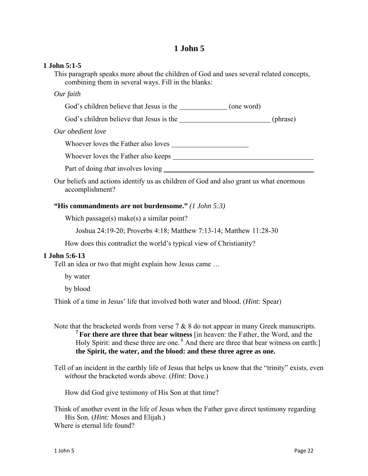#### **1 John 5:1-5**

This paragraph speaks more about the children of God and uses several related concepts, combining them in several ways. Fill in the blanks:

#### *Our faith*

God's children believe that Jesus is the (one word)

God's children believe that Jesus is the (phrase)

#### *Our obedient love*

Whoever loves the Father also loves

Whoever loves the Father also keeps

Part of doing *that* involves loving

Our beliefs and actions identify us as children of God and also grant us what enormous accomplishment?

#### **"His commandments are not burdensome."** *(1 John 5:3)*

Which passage(s) make(s) a similar point?

Joshua 24:19-20; Proverbs 4:18; Matthew 7:13-14; Matthew 11:28-30

How does this contradict the world's typical view of Christianity?

#### **1 John 5:6-13**

Tell an idea or two that might explain how Jesus came …

by water

by blood

Think of a time in Jesus' life that involved both water and blood. (*Hint:* Spear)

Note that the bracketed words from verse  $7 \& 8$  do not appear in many Greek manuscripts. **7 For there are three that bear witness** [in heaven: the Father, the Word, and the Holy Spirit: and these three are one. <sup>8</sup> And there are three that bear witness on earth: **the Spirit, the water, and the blood: and these three agree as one.**

Tell of an incident in the earthly life of Jesus that helps us know that the "trinity" exists, even *without* the bracketed words above. (*Hint:* Dove.)

How did God give testimony of His Son at that time?

Think of another event in the life of Jesus when the Father gave direct testimony regarding His Son. (*Hint:* Moses and Elijah.) Where is eternal life found?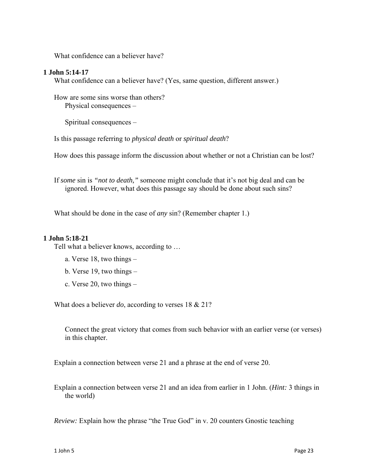What confidence can a believer have?

#### **1 John 5:14-17**

What confidence can a believer have? (Yes, same question, different answer.)

How are some sins worse than others? Physical consequences –

Spiritual consequences –

Is this passage referring to *physical death* or *spiritual death*?

How does this passage inform the discussion about whether or not a Christian can be lost?

If *some* sin is *"not to death,"* someone might conclude that it's not big deal and can be ignored. However, what does this passage say should be done about such sins?

What should be done in the case of *any* sin? (Remember chapter 1.)

#### **1 John 5:18-21**

Tell what a believer knows, according to …

- a. Verse 18, two things –
- b. Verse 19, two things –
- c. Verse 20, two things –

What does a believer *do*, according to verses 18 & 21?

Connect the great victory that comes from such behavior with an earlier verse (or verses) in this chapter.

Explain a connection between verse 21 and a phrase at the end of verse 20.

Explain a connection between verse 21 and an idea from earlier in 1 John. (*Hint:* 3 things in the world)

*Review:* Explain how the phrase "the True God" in v. 20 counters Gnostic teaching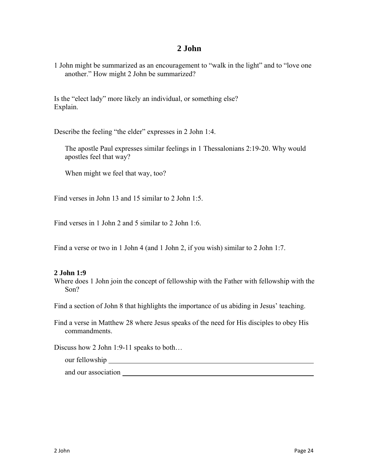1 John might be summarized as an encouragement to "walk in the light" and to "love one another." How might 2 John be summarized?

Is the "elect lady" more likely an individual, or something else? Explain.

Describe the feeling "the elder" expresses in 2 John 1:4.

The apostle Paul expresses similar feelings in 1 Thessalonians 2:19-20. Why would apostles feel that way?

When might we feel that way, too?

Find verses in John 13 and 15 similar to 2 John 1:5.

Find verses in 1 John 2 and 5 similar to 2 John 1:6.

Find a verse or two in 1 John 4 (and 1 John 2, if you wish) similar to 2 John 1:7.

#### **2 John 1:9**

Where does 1 John join the concept of fellowship with the Father with fellowship with the Son?

Find a section of John 8 that highlights the importance of us abiding in Jesus' teaching.

Find a verse in Matthew 28 where Jesus speaks of the need for His disciples to obey His commandments.

Discuss how 2 John 1:9-11 speaks to both...

our fellowship

and our association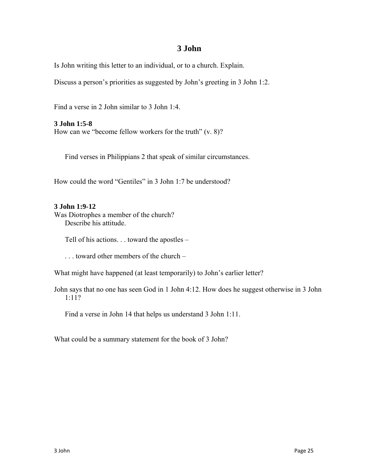Is John writing this letter to an individual, or to a church. Explain.

Discuss a person's priorities as suggested by John's greeting in 3 John 1:2.

Find a verse in 2 John similar to 3 John 1:4.

**3 John 1:5-8**

How can we "become fellow workers for the truth" (v. 8)?

Find verses in Philippians 2 that speak of similar circumstances.

How could the word "Gentiles" in 3 John 1:7 be understood?

#### **3 John 1:9-12**

Was Diotrophes a member of the church? Describe his attitude.

Tell of his actions. . . toward the apostles –

. . . toward other members of the church –

What might have happened (at least temporarily) to John's earlier letter?

John says that no one has seen God in 1 John 4:12. How does he suggest otherwise in 3 John 1:11?

Find a verse in John 14 that helps us understand 3 John 1:11.

What could be a summary statement for the book of 3 John?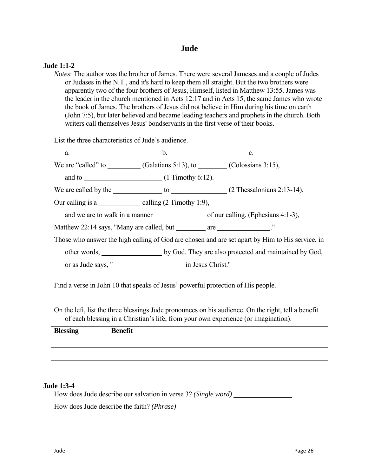## **Jude**

#### **Jude 1:1-2**

*Notes*: The author was the brother of James. There were several Jameses and a couple of Judes or Judases in the N.T., and it's hard to keep them all straight. But the two brothers were apparently two of the four brothers of Jesus, Himself, listed in Matthew 13:55. James was the leader in the church mentioned in Acts 12:17 and in Acts 15, the same James who wrote the book of James. The brothers of Jesus did not believe in Him during his time on earth (John 7:5), but later believed and became leading teachers and prophets in the church. Both writers call themselves Jesus' bondservants in the first verse of their books.

List the three characteristics of Jude's audience.

a.  $\qquad b.$  c. We are "called" to  $\qquad \qquad$  (Galatians 5:13), to  $\qquad \qquad$  (Colossians 3:15), and to (1 Timothy 6:12). We are called by the  $\qquad$  to  $\qquad$  (2 Thessalonians 2:13-14). Our calling is a  $\qquad \qquad \text{ calling } (2 \text{ Timothy } 1:9),$ and we are to walk in a manner  $\qquad \qquad$  of our calling. (Ephesians 4:1-3), Matthew 22:14 says, "Many are called, but are ..." Those who answer the high calling of God are chosen and are set apart by Him to His service, in other words, \_\_\_\_\_\_\_\_\_\_\_\_\_\_\_\_\_\_\_ by God. They are also protected and maintained by God, or as Jude says, " in Jesus Christ."

Find a verse in John 10 that speaks of Jesus' powerful protection of His people.

On the left, list the three blessings Jude pronounces on his audience. On the right, tell a benefit of each blessing in a Christian's life, from your own experience (or imagination).

| <b>Benefit</b> |
|----------------|
|                |
|                |
|                |
|                |
|                |

#### **Jude 1:3-4**

How does Jude describe our salvation in verse 3? *(Single word)*

How does Jude describe the faith? *(Phrase)*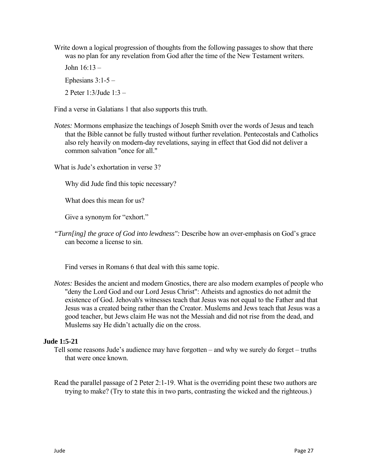Write down a logical progression of thoughts from the following passages to show that there was no plan for any revelation from God after the time of the New Testament writers.

John 16:13 – Ephesians  $3:1-5$  –

2 Peter 1:3/Jude 1:3 –

Find a verse in Galatians 1 that also supports this truth.

*Notes:* Mormons emphasize the teachings of Joseph Smith over the words of Jesus and teach that the Bible cannot be fully trusted without further revelation. Pentecostals and Catholics also rely heavily on modern-day revelations, saying in effect that God did not deliver a common salvation "once for all."

What is Jude's exhortation in verse 3?

Why did Jude find this topic necessary?

What does this mean for us?

Give a synonym for "exhort."

*"Turn[ing] the grace of God into lewdness":* Describe how an over-emphasis on God's grace can become a license to sin.

Find verses in Romans 6 that deal with this same topic.

*Notes:* Besides the ancient and modern Gnostics, there are also modern examples of people who "deny the Lord God and our Lord Jesus Christ": Atheists and agnostics do not admit the existence of God. Jehovah's witnesses teach that Jesus was not equal to the Father and that Jesus was a created being rather than the Creator. Muslems and Jews teach that Jesus was a good teacher, but Jews claim He was not the Messiah and did not rise from the dead, and Muslems say He didn't actually die on the cross.

#### **Jude 1:5-21**

Tell some reasons Jude's audience may have forgotten – and why we surely do forget – truths that were once known.

Read the parallel passage of 2 Peter 2:1-19. What is the overriding point these two authors are trying to make? (Try to state this in two parts, contrasting the wicked and the righteous.)